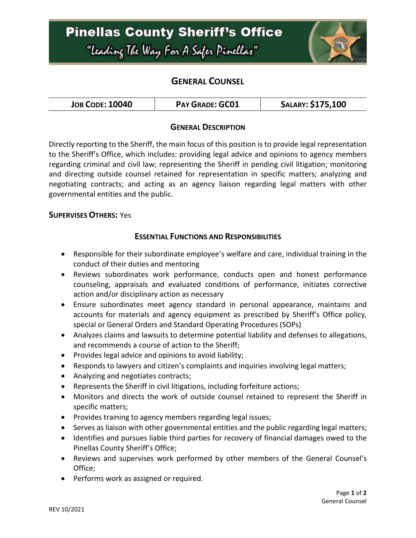# **Pinellas County Sheriff's Office** "Leading The Way For A Safer Pinellar"



# **GENERAL COUNSEL**

| <b>JOB CODE: 10040</b> | <b>PAY GRADE: GC01</b> | SALARY: \$175,100 |
|------------------------|------------------------|-------------------|
|------------------------|------------------------|-------------------|

## **GENERAL DESCRIPTION**

Directly reporting to the Sheriff, the main focus of this position is to provide legal representation to the Sheriff's Office, which includes: providing legal advice and opinions to agency members regarding criminal and civil law; representing the Sheriff in pending civil litigation; monitoring and directing outside counsel retained for representation in specific matters; analyzing and negotiating contracts; and acting as an agency liaison regarding legal matters with other governmental entities and the public.

#### **SUPERVISES OTHERS:** Yes

#### **ESSENTIAL FUNCTIONS AND RESPONSIBILITIES**

- Responsible for their subordinate employee's welfare and care, individual training in the conduct of their duties and mentoring
- Reviews subordinates work performance, conducts open and honest performance counseling, appraisals and evaluated conditions of performance, initiates corrective action and/or disciplinary action as necessary
- Ensure subordinates meet agency standard in personal appearance, maintains and accounts for materials and agency equipment as prescribed by Sheriff's Office policy, special or General Orders and Standard Operating Procedures (SOPs)
- Analyzes claims and lawsuits to determine potential liability and defenses to allegations, and recommends a course of action to the Sheriff;
- Provides legal advice and opinions to avoid liability;
- Responds to lawyers and citizen's complaints and inquiries involving legal matters;
- Analyzing and negotiates contracts;
- Represents the Sheriff in civil litigations, including forfeiture actions;
- Monitors and directs the work of outside counsel retained to represent the Sheriff in specific matters;
- Provides training to agency members regarding legal issues;
- Serves as liaison with other governmental entities and the public regarding legal matters;
- Identifies and pursues liable third parties for recovery of financial damages owed to the Pinellas County Sheriff's Office;
- Reviews and supervises work performed by other members of the General Counsel's Office;
- Performs work as assigned or required.